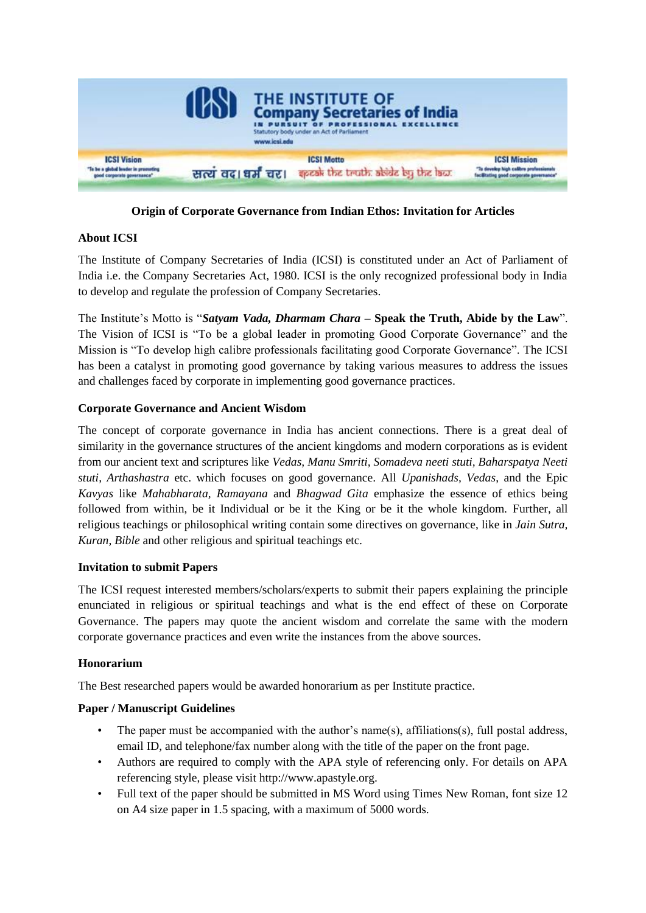

**Origin of Corporate Governance from Indian Ethos: Invitation for Articles**

# **About ICSI**

The Institute of Company Secretaries of India (ICSI) is constituted under an Act of Parliament of India i.e. the Company Secretaries Act, 1980. ICSI is the only recognized professional body in India to develop and regulate the profession of Company Secretaries.

The Institute's Motto is "*Satyam Vada, Dharmam Chara* **– Speak the Truth, Abide by the Law**". The Vision of ICSI is "To be a global leader in promoting Good Corporate Governance" and the Mission is "To develop high calibre professionals facilitating good Corporate Governance". The ICSI has been a catalyst in promoting good governance by taking various measures to address the issues and challenges faced by corporate in implementing good governance practices.

## **Corporate Governance and Ancient Wisdom**

The concept of corporate governance in India has ancient connections. There is a great deal of similarity in the governance structures of the ancient kingdoms and modern corporations as is evident from our ancient text and scriptures like *Vedas, Manu Smriti, Somadeva neeti stuti, Baharspatya Neeti stuti, Arthashastra* etc. which focuses on good governance. All *Upanishads, Vedas*, and the Epic *Kavyas* like *Mahabharata, Ramayana* and *Bhagwad Gita* emphasize the essence of ethics being followed from within, be it Individual or be it the King or be it the whole kingdom. Further, all religious teachings or philosophical writing contain some directives on governance, like in *Jain Sutra, Kuran, Bible* and other religious and spiritual teachings etc*.*

## **Invitation to submit Papers**

The ICSI request interested members/scholars/experts to submit their papers explaining the principle enunciated in religious or spiritual teachings and what is the end effect of these on Corporate Governance. The papers may quote the ancient wisdom and correlate the same with the modern corporate governance practices and even write the instances from the above sources.

## **Honorarium**

The Best researched papers would be awarded honorarium as per Institute practice.

## **Paper / Manuscript Guidelines**

- The paper must be accompanied with the author's name(s), affiliations(s), full postal address, email ID, and telephone/fax number along with the title of the paper on the front page.
- Authors are required to comply with the APA style of referencing only. For details on APA referencing style, please visit http://www.apastyle.org.
- Full text of the paper should be submitted in MS Word using Times New Roman, font size 12 on A4 size paper in 1.5 spacing, with a maximum of 5000 words.